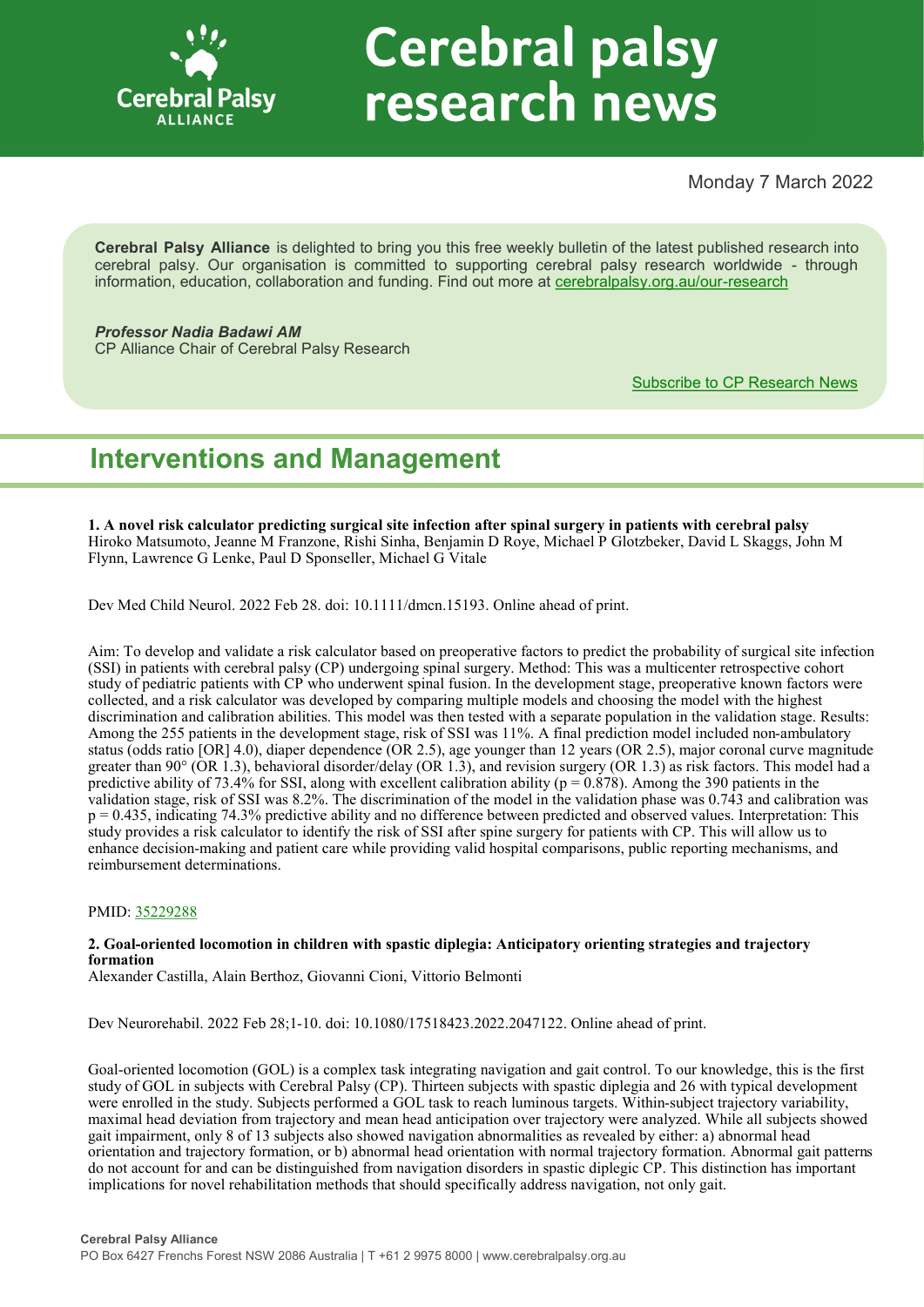

# **Cerebral palsy** research news

Monday 7 March 2022

**Cerebral Palsy Alliance** is delighted to bring you this free weekly bulletin of the latest published research into cerebral palsy. Our organisation is committed to supporting cerebral palsy research worldwide - through information, education, collaboration and funding. Find out more at [cerebralpalsy.org.au/our](https://cerebralpalsy.org.au/our-research/)-research

*Professor Nadia Badawi AM* CP Alliance Chair of Cerebral Palsy Research

[Subscribe to CP Research News](https://cerebralpalsy.org.au/our-research/get-involved-research/cp-research-newsletters/)

# **Interventions and Management**

**1. A novel risk calculator predicting surgical site infection after spinal surgery in patients with cerebral palsy** Hiroko Matsumoto, Jeanne M Franzone, Rishi Sinha, Benjamin D Roye, Michael P Glotzbeker, David L Skaggs, John M Flynn, Lawrence G Lenke, Paul D Sponseller, Michael G Vitale

Dev Med Child Neurol. 2022 Feb 28. doi: 10.1111/dmcn.15193. Online ahead of print.

Aim: To develop and validate a risk calculator based on preoperative factors to predict the probability of surgical site infection (SSI) in patients with cerebral palsy (CP) undergoing spinal surgery. Method: This was a multicenter retrospective cohort study of pediatric patients with CP who underwent spinal fusion. In the development stage, preoperative known factors were collected, and a risk calculator was developed by comparing multiple models and choosing the model with the highest discrimination and calibration abilities. This model was then tested with a separate population in the validation stage. Results: Among the 255 patients in the development stage, risk of SSI was 11%. A final prediction model included non-ambulatory status (odds ratio [OR] 4.0), diaper dependence (OR 2.5), age younger than 12 years (OR 2.5), major coronal curve magnitude greater than 90° (OR 1.3), behavioral disorder/delay (OR 1.3), and revision surgery (OR 1.3) as risk factors. This model had a predictive ability of 73.4% for SSI, along with excellent calibration ability ( $p = 0.878$ ). Among the 390 patients in the validation stage, risk of SSI was 8.2%. The discrimination of the model in the validation phase was 0.743 and calibration was  $p = 0.435$ , indicating 74.3% predictive ability and no difference between predicted and observed values. Interpretation: This study provides a risk calculator to identify the risk of SSI after spine surgery for patients with CP. This will allow us to enhance decision-making and patient care while providing valid hospital comparisons, public reporting mechanisms, and reimbursement determinations.

#### PMID: [35229288](http://www.ncbi.nlm.nih.gov/pubmed/35229288)

#### **2. Goal-oriented locomotion in children with spastic diplegia: Anticipatory orienting strategies and trajectory formation**

Alexander Castilla, Alain Berthoz, Giovanni Cioni, Vittorio Belmonti

Dev Neurorehabil. 2022 Feb 28;1-10. doi: 10.1080/17518423.2022.2047122. Online ahead of print.

Goal-oriented locomotion (GOL) is a complex task integrating navigation and gait control. To our knowledge, this is the first study of GOL in subjects with Cerebral Palsy (CP). Thirteen subjects with spastic diplegia and 26 with typical development were enrolled in the study. Subjects performed a GOL task to reach luminous targets. Within-subject trajectory variability, maximal head deviation from trajectory and mean head anticipation over trajectory were analyzed. While all subjects showed gait impairment, only 8 of 13 subjects also showed navigation abnormalities as revealed by either: a) abnormal head orientation and trajectory formation, or b) abnormal head orientation with normal trajectory formation. Abnormal gait patterns do not account for and can be distinguished from navigation disorders in spastic diplegic CP. This distinction has important implications for novel rehabilitation methods that should specifically address navigation, not only gait.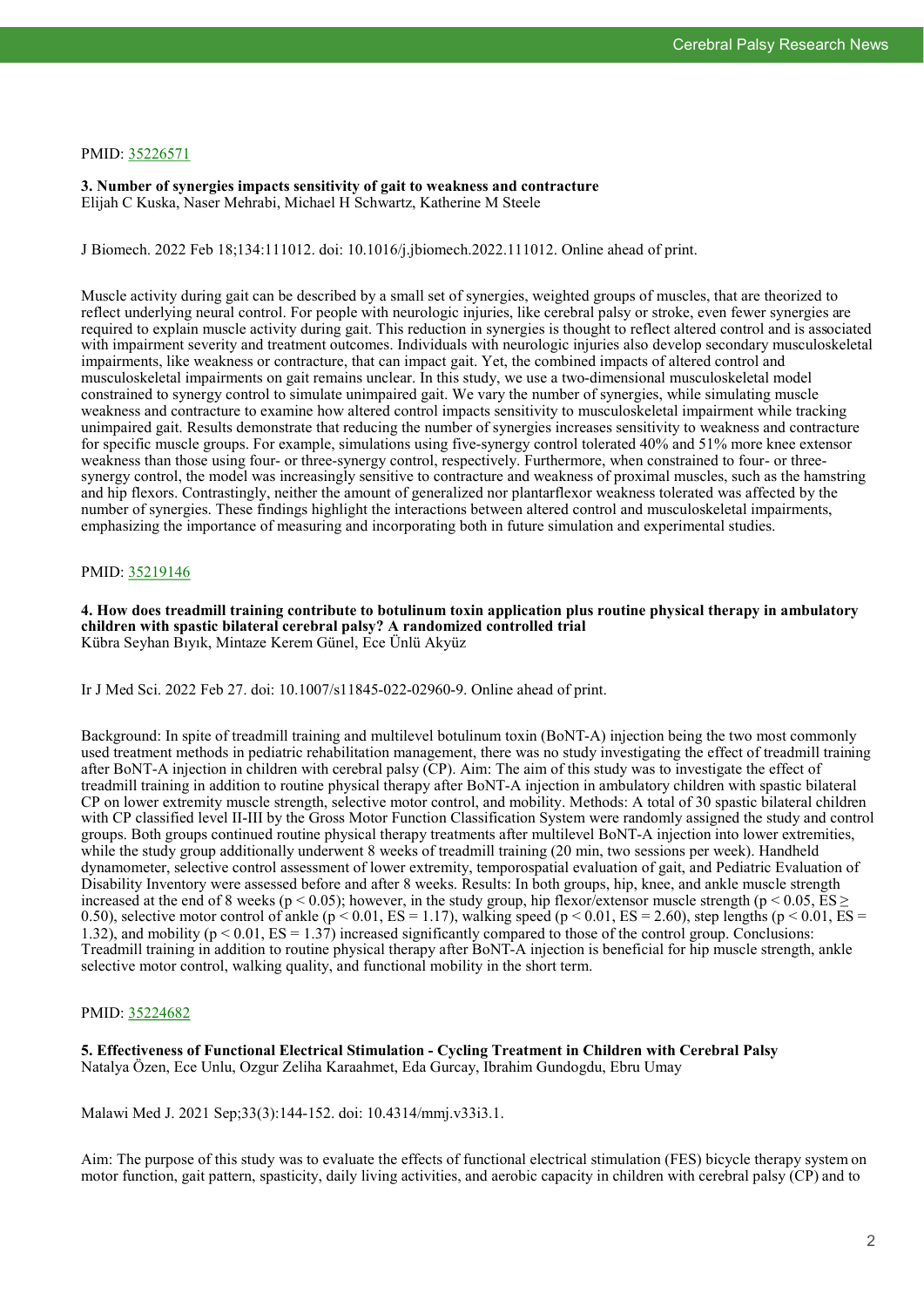#### PMID: [35226571](http://www.ncbi.nlm.nih.gov/pubmed/35226571)

**3. Number of synergies impacts sensitivity of gait to weakness and contracture** Elijah C Kuska, Naser Mehrabi, Michael H Schwartz, Katherine M Steele

J Biomech. 2022 Feb 18;134:111012. doi: 10.1016/j.jbiomech.2022.111012. Online ahead of print.

Muscle activity during gait can be described by a small set of synergies, weighted groups of muscles, that are theorized to reflect underlying neural control. For people with neurologic injuries, like cerebral palsy or stroke, even fewer synergies are required to explain muscle activity during gait. This reduction in synergies is thought to reflect altered control and is associated with impairment severity and treatment outcomes. Individuals with neurologic injuries also develop secondary musculoskeletal impairments, like weakness or contracture, that can impact gait. Yet, the combined impacts of altered control and musculoskeletal impairments on gait remains unclear. In this study, we use a two-dimensional musculoskeletal model constrained to synergy control to simulate unimpaired gait. We vary the number of synergies, while simulating muscle weakness and contracture to examine how altered control impacts sensitivity to musculoskeletal impairment while tracking unimpaired gait. Results demonstrate that reducing the number of synergies increases sensitivity to weakness and contracture for specific muscle groups. For example, simulations using five-synergy control tolerated 40% and 51% more knee extensor weakness than those using four- or three-synergy control, respectively. Furthermore, when constrained to four- or threesynergy control, the model was increasingly sensitive to contracture and weakness of proximal muscles, such as the hamstring and hip flexors. Contrastingly, neither the amount of generalized nor plantarflexor weakness tolerated was affected by the number of synergies. These findings highlight the interactions between altered control and musculoskeletal impairments, emphasizing the importance of measuring and incorporating both in future simulation and experimental studies.

#### PMID: [35219146](http://www.ncbi.nlm.nih.gov/pubmed/35219146)

**4. How does treadmill training contribute to botulinum toxin application plus routine physical therapy in ambulatory children with spastic bilateral cerebral palsy? A randomized controlled trial** Kübra Seyhan Bıyık, Mintaze Kerem Günel, Ece Ünlü Akyüz

Ir J Med Sci. 2022 Feb 27. doi: 10.1007/s11845-022-02960-9. Online ahead of print.

Background: In spite of treadmill training and multilevel botulinum toxin (BoNT-A) injection being the two most commonly used treatment methods in pediatric rehabilitation management, there was no study investigating the effect of treadmill training after BoNT-A injection in children with cerebral palsy (CP). Aim: The aim of this study was to investigate the effect of treadmill training in addition to routine physical therapy after BoNT-A injection in ambulatory children with spastic bilateral CP on lower extremity muscle strength, selective motor control, and mobility. Methods: A total of 30 spastic bilateral children with CP classified level II-III by the Gross Motor Function Classification System were randomly assigned the study and control groups. Both groups continued routine physical therapy treatments after multilevel BoNT-A injection into lower extremities, while the study group additionally underwent 8 weeks of treadmill training (20 min, two sessions per week). Handheld dynamometer, selective control assessment of lower extremity, temporospatial evaluation of gait, and Pediatric Evaluation of Disability Inventory were assessed before and after 8 weeks. Results: In both groups, hip, knee, and ankle muscle strength increased at the end of 8 weeks ( $p < 0.05$ ); however, in the study group, hip flexor/extensor muscle strength ( $p < 0.05$ , ES  $\geq$ 0.50), selective motor control of ankle ( $p < 0.01$ ,  $ES = 1.17$ ), walking speed ( $p < 0.01$ ,  $ES = 2.60$ ), step lengths ( $p < 0.01$ ,  $ES = 1.17$ ), walking speed ( $p < 0.01$ ,  $ES = 2.60$ ), step lengths ( $p < 0.01$ ,  $ES = 0.01$ ) 1.32), and mobility ( $p < 0.01$ ,  $ES = 1.37$ ) increased significantly compared to those of the control group. Conclusions: Treadmill training in addition to routine physical therapy after BoNT-A injection is beneficial for hip muscle strength, ankle selective motor control, walking quality, and functional mobility in the short term.

#### PMID: [35224682](http://www.ncbi.nlm.nih.gov/pubmed/35224682)

**5. Effectiveness of Functional Electrical Stimulation - Cycling Treatment in Children with Cerebral Palsy** Natalya Özen, Ece Unlu, Ozgur Zeliha Karaahmet, Eda Gurcay, Ibrahim Gundogdu, Ebru Umay

Malawi Med J. 2021 Sep;33(3):144-152. doi: 10.4314/mmj.v33i3.1.

Aim: The purpose of this study was to evaluate the effects of functional electrical stimulation (FES) bicycle therapy system on motor function, gait pattern, spasticity, daily living activities, and aerobic capacity in children with cerebral palsy (CP) and to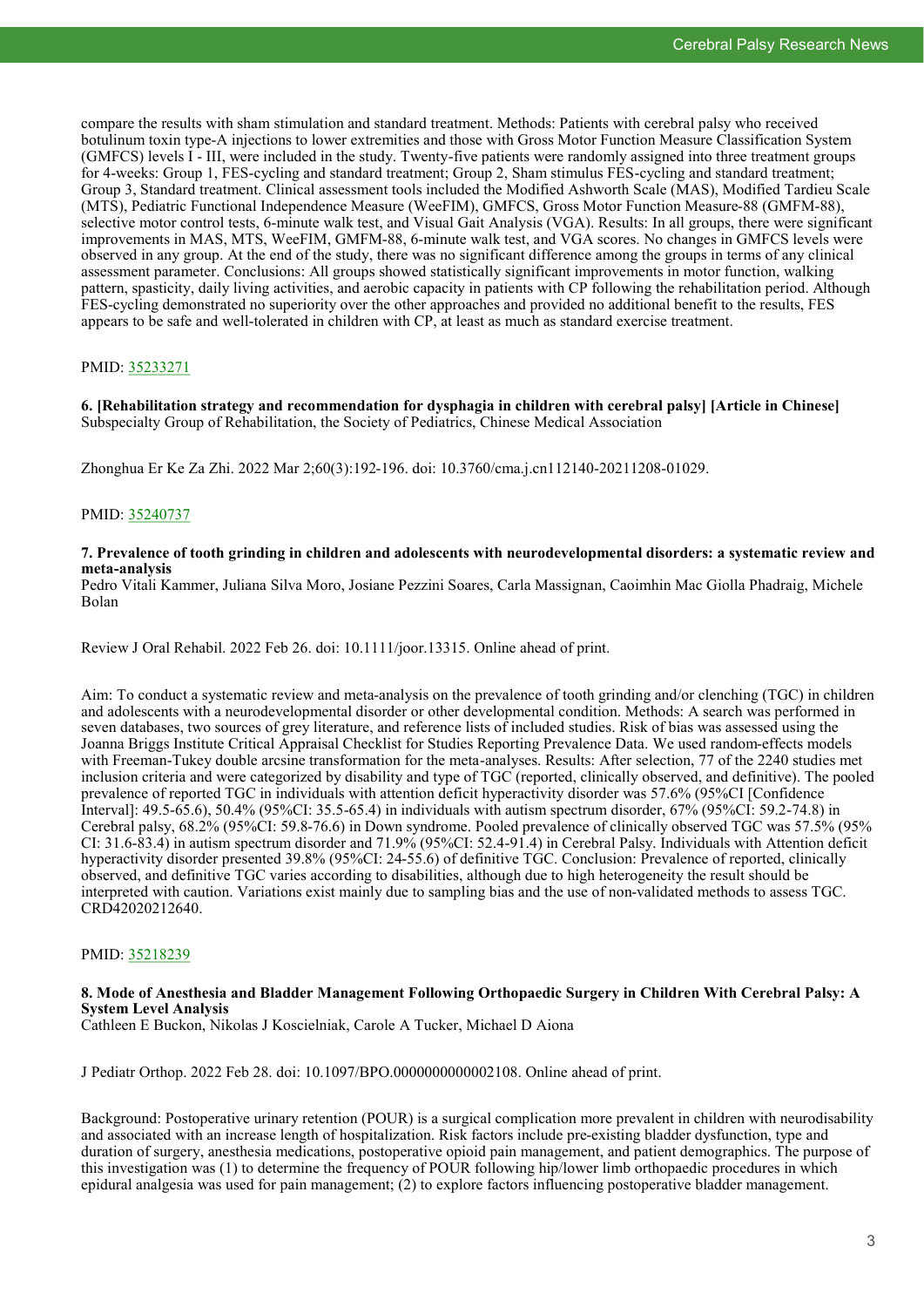compare the results with sham stimulation and standard treatment. Methods: Patients with cerebral palsy who received botulinum toxin type-A injections to lower extremities and those with Gross Motor Function Measure Classification System (GMFCS) levels I - III, were included in the study. Twenty-five patients were randomly assigned into three treatment groups for 4-weeks: Group 1, FES-cycling and standard treatment; Group 2, Sham stimulus FES-cycling and standard treatment; Group 3, Standard treatment. Clinical assessment tools included the Modified Ashworth Scale (MAS), Modified Tardieu Scale (MTS), Pediatric Functional Independence Measure (WeeFIM), GMFCS, Gross Motor Function Measure-88 (GMFM-88), selective motor control tests, 6-minute walk test, and Visual Gait Analysis (VGA). Results: In all groups, there were significant improvements in MAS, MTS, WeeFIM, GMFM-88, 6-minute walk test, and VGA scores. No changes in GMFCS levels were observed in any group. At the end of the study, there was no significant difference among the groups in terms of any clinical assessment parameter. Conclusions: All groups showed statistically significant improvements in motor function, walking pattern, spasticity, daily living activities, and aerobic capacity in patients with CP following the rehabilitation period. Although FES-cycling demonstrated no superiority over the other approaches and provided no additional benefit to the results, FES appears to be safe and well-tolerated in children with CP, at least as much as standard exercise treatment.

#### PMID: [35233271](http://www.ncbi.nlm.nih.gov/pubmed/35233271)

**6. [Rehabilitation strategy and recommendation for dysphagia in children with cerebral palsy] [Article in Chinese]** Subspecialty Group of Rehabilitation, the Society of Pediatrics, Chinese Medical Association

Zhonghua Er Ke Za Zhi. 2022 Mar 2;60(3):192-196. doi: 10.3760/cma.j.cn112140-20211208-01029.

#### PMID: [35240737](https://pubmed.ncbi.nlm.nih.gov/35240737)

#### **7. Prevalence of tooth grinding in children and adolescents with neurodevelopmental disorders: a systematic review and meta-analysis**

Pedro Vitali Kammer, Juliana Silva Moro, Josiane Pezzini Soares, Carla Massignan, Caoimhin Mac Giolla Phadraig, Michele Bolan

Review J Oral Rehabil. 2022 Feb 26. doi: 10.1111/joor.13315. Online ahead of print.

Aim: To conduct a systematic review and meta-analysis on the prevalence of tooth grinding and/or clenching (TGC) in children and adolescents with a neurodevelopmental disorder or other developmental condition. Methods: A search was performed in seven databases, two sources of grey literature, and reference lists of included studies. Risk of bias was assessed using the Joanna Briggs Institute Critical Appraisal Checklist for Studies Reporting Prevalence Data. We used random-effects models with Freeman-Tukey double arcsine transformation for the meta-analyses. Results: After selection, 77 of the 2240 studies met inclusion criteria and were categorized by disability and type of TGC (reported, clinically observed, and definitive). The pooled prevalence of reported TGC in individuals with attention deficit hyperactivity disorder was 57.6% (95%CI [Confidence Interval]: 49.5-65.6), 50.4% (95%CI: 35.5-65.4) in individuals with autism spectrum disorder, 67% (95%CI: 59.2-74.8) in Cerebral palsy, 68.2% (95%CI: 59.8-76.6) in Down syndrome. Pooled prevalence of clinically observed TGC was 57.5% (95% CI: 31.6-83.4) in autism spectrum disorder and 71.9% (95%CI: 52.4-91.4) in Cerebral Palsy. Individuals with Attention deficit hyperactivity disorder presented 39.8% (95%CI: 24-55.6) of definitive TGC. Conclusion: Prevalence of reported, clinically observed, and definitive TGC varies according to disabilities, although due to high heterogeneity the result should be interpreted with caution. Variations exist mainly due to sampling bias and the use of non-validated methods to assess TGC. CRD42020212640.

#### PMID: [35218239](http://www.ncbi.nlm.nih.gov/pubmed/35218239)

# **8. Mode of Anesthesia and Bladder Management Following Orthopaedic Surgery in Children With Cerebral Palsy: A System Level Analysis**

Cathleen E Buckon, Nikolas J Koscielniak, Carole A Tucker, Michael D Aiona

J Pediatr Orthop. 2022 Feb 28. doi: 10.1097/BPO.0000000000002108. Online ahead of print.

Background: Postoperative urinary retention (POUR) is a surgical complication more prevalent in children with neurodisability and associated with an increase length of hospitalization. Risk factors include pre-existing bladder dysfunction, type and duration of surgery, anesthesia medications, postoperative opioid pain management, and patient demographics. The purpose of this investigation was (1) to determine the frequency of POUR following hip/lower limb orthopaedic procedures in which epidural analgesia was used for pain management; (2) to explore factors influencing postoperative bladder management.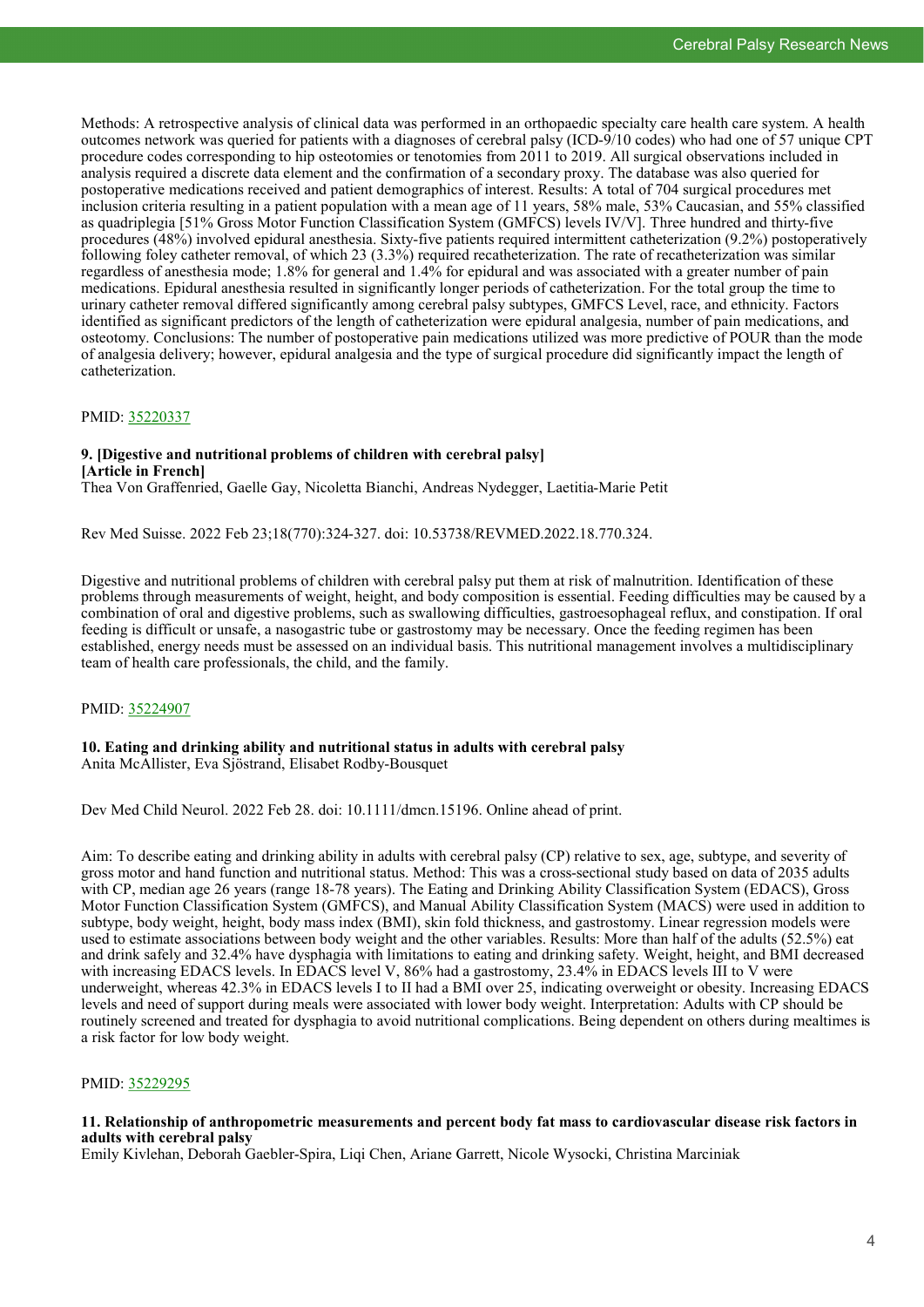Methods: A retrospective analysis of clinical data was performed in an orthopaedic specialty care health care system. A health outcomes network was queried for patients with a diagnoses of cerebral palsy (ICD-9/10 codes) who had one of 57 unique CPT procedure codes corresponding to hip osteotomies or tenotomies from 2011 to 2019. All surgical observations included in analysis required a discrete data element and the confirmation of a secondary proxy. The database was also queried for postoperative medications received and patient demographics of interest. Results: A total of 704 surgical procedures met inclusion criteria resulting in a patient population with a mean age of 11 years, 58% male, 53% Caucasian, and 55% classified as quadriplegia [51% Gross Motor Function Classification System (GMFCS) levels IV/V]. Three hundred and thirty-five procedures (48%) involved epidural anesthesia. Sixty-five patients required intermittent catheterization (9.2%) postoperatively following foley catheter removal, of which 23 (3.3%) required recatheterization. The rate of recatheterization was similar regardless of anesthesia mode; 1.8% for general and 1.4% for epidural and was associated with a greater number of pain medications. Epidural anesthesia resulted in significantly longer periods of catheterization. For the total group the time to urinary catheter removal differed significantly among cerebral palsy subtypes, GMFCS Level, race, and ethnicity. Factors identified as significant predictors of the length of catheterization were epidural analgesia, number of pain medications, and osteotomy. Conclusions: The number of postoperative pain medications utilized was more predictive of POUR than the mode of analgesia delivery; however, epidural analgesia and the type of surgical procedure did significantly impact the length of catheterization.

#### PMID: [35220337](http://www.ncbi.nlm.nih.gov/pubmed/35220337)

#### **9. [Digestive and nutritional problems of children with cerebral palsy] [Article in French]**

Thea Von Graffenried, Gaelle Gay, Nicoletta Bianchi, Andreas Nydegger, Laetitia-Marie Petit

Rev Med Suisse. 2022 Feb 23;18(770):324-327. doi: 10.53738/REVMED.2022.18.770.324.

Digestive and nutritional problems of children with cerebral palsy put them at risk of malnutrition. Identification of these problems through measurements of weight, height, and body composition is essential. Feeding difficulties may be caused by a combination of oral and digestive problems, such as swallowing difficulties, gastroesophageal reflux, and constipation. If oral feeding is difficult or unsafe, a nasogastric tube or gastrostomy may be necessary. Once the feeding regimen has been established, energy needs must be assessed on an individual basis. This nutritional management involves a multidisciplinary team of health care professionals, the child, and the family.

#### PMID: [35224907](http://www.ncbi.nlm.nih.gov/pubmed/35224907)

**10. Eating and drinking ability and nutritional status in adults with cerebral palsy** Anita McAllister, Eva Sjöstrand, Elisabet Rodby-Bousquet

Dev Med Child Neurol. 2022 Feb 28. doi: 10.1111/dmcn.15196. Online ahead of print.

Aim: To describe eating and drinking ability in adults with cerebral palsy (CP) relative to sex, age, subtype, and severity of gross motor and hand function and nutritional status. Method: This was a cross-sectional study based on data of 2035 adults with CP, median age 26 years (range 18-78 years). The Eating and Drinking Ability Classification System (EDACS), Gross Motor Function Classification System (GMFCS), and Manual Ability Classification System (MACS) were used in addition to subtype, body weight, height, body mass index (BMI), skin fold thickness, and gastrostomy. Linear regression models were used to estimate associations between body weight and the other variables. Results: More than half of the adults (52.5%) eat and drink safely and 32.4% have dysphagia with limitations to eating and drinking safety. Weight, height, and BMI decreased with increasing EDACS levels. In EDACS level V, 86% had a gastrostomy, 23.4% in EDACS levels III to V were underweight, whereas 42.3% in EDACS levels I to II had a BMI over 25, indicating overweight or obesity. Increasing EDACS levels and need of support during meals were associated with lower body weight. Interpretation: Adults with CP should be routinely screened and treated for dysphagia to avoid nutritional complications. Being dependent on others during mealtimes is a risk factor for low body weight.

#### PMID: [35229295](http://www.ncbi.nlm.nih.gov/pubmed/35229295)

#### **11. Relationship of anthropometric measurements and percent body fat mass to cardiovascular disease risk factors in adults with cerebral palsy**

Emily Kivlehan, Deborah Gaebler-Spira, Liqi Chen, Ariane Garrett, Nicole Wysocki, Christina Marciniak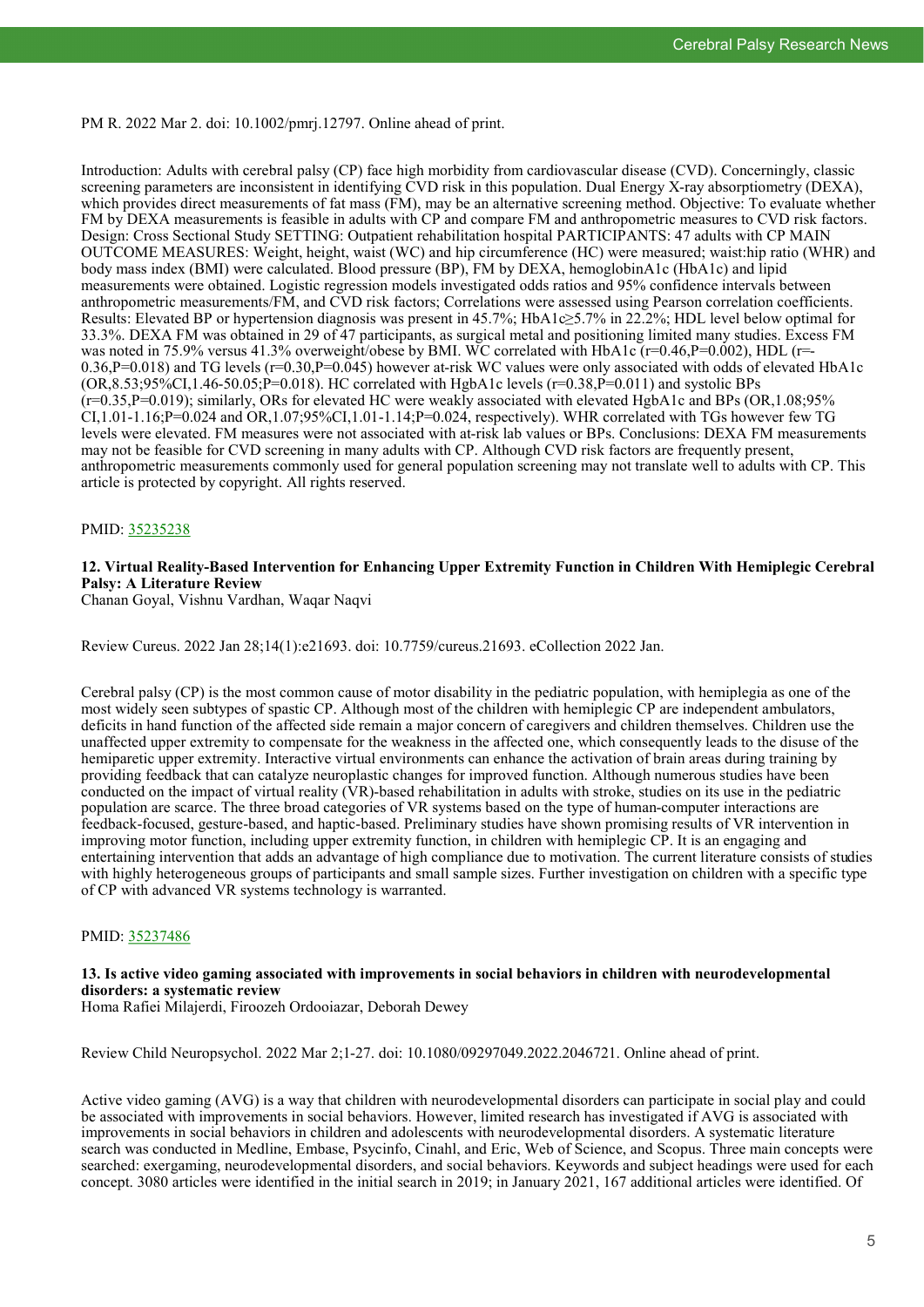PM R. 2022 Mar 2. doi: 10.1002/pmrj.12797. Online ahead of print.

Introduction: Adults with cerebral palsy (CP) face high morbidity from cardiovascular disease (CVD). Concerningly, classic screening parameters are inconsistent in identifying CVD risk in this population. Dual Energy X-ray absorptiometry (DEXA), which provides direct measurements of fat mass (FM), may be an alternative screening method. Objective: To evaluate whether FM by DEXA measurements is feasible in adults with CP and compare FM and anthropometric measures to CVD risk factors. Design: Cross Sectional Study SETTING: Outpatient rehabilitation hospital PARTICIPANTS: 47 adults with CP MAIN OUTCOME MEASURES: Weight, height, waist (WC) and hip circumference (HC) were measured; waist:hip ratio (WHR) and body mass index (BMI) were calculated. Blood pressure (BP), FM by DEXA, hemoglobinA1c (HbA1c) and lipid measurements were obtained. Logistic regression models investigated odds ratios and 95% confidence intervals between anthropometric measurements/FM, and CVD risk factors; Correlations were assessed using Pearson correlation coefficients. Results: Elevated BP or hypertension diagnosis was present in 45.7%; HbA1c≥5.7% in 22.2%; HDL level below optimal for 33.3%. DEXA FM was obtained in 29 of 47 participants, as surgical metal and positioning limited many studies. Excess FM was noted in 75.9% versus 41.3% overweight/obese by BMI. WC correlated with HbA1c (r=0.46,P=0.002), HDL (r=  $0.36, P=0.018$ ) and TG levels ( $r=0.30, P=0.045$ ) however at-risk WC values were only associated with odds of elevated HbA1c  $(OR, 8.53; 95\% CI, 1.46-50.05; P=0.018)$ . HC correlated with HgbA1c levels ( $r=0.38, P=0.011$ ) and systolic BPs  $(r=0.35, P=0.019)$ ; similarly, ORs for elevated HC were weakly associated with elevated HgbA1c and BPs (OR, 1.08;95%)  $CI, 1.01-1.16$ ;  $P=0.024$  and  $OR, 1.07; 95\% CI, 1.01-1.14$ ;  $P=0.024$ , respectively). WHR correlated with TGs however few TG levels were elevated. FM measures were not associated with at-risk lab values or BPs. Conclusions: DEXA FM measurements may not be feasible for CVD screening in many adults with CP. Although CVD risk factors are frequently present, anthropometric measurements commonly used for general population screening may not translate well to adults with CP. This article is protected by copyright. All rights reserved.

### PMID: [35235238](http://www.ncbi.nlm.nih.gov/pubmed/35235238)

#### **12. Virtual Reality-Based Intervention for Enhancing Upper Extremity Function in Children With Hemiplegic Cerebral Palsy: A Literature Review**

Chanan Goyal, Vishnu Vardhan, Waqar Naqvi

Review Cureus. 2022 Jan 28;14(1):e21693. doi: 10.7759/cureus.21693. eCollection 2022 Jan.

Cerebral palsy (CP) is the most common cause of motor disability in the pediatric population, with hemiplegia as one of the most widely seen subtypes of spastic CP. Although most of the children with hemiplegic CP are independent ambulators, deficits in hand function of the affected side remain a major concern of caregivers and children themselves. Children use the unaffected upper extremity to compensate for the weakness in the affected one, which consequently leads to the disuse of the hemiparetic upper extremity. Interactive virtual environments can enhance the activation of brain areas during training by providing feedback that can catalyze neuroplastic changes for improved function. Although numerous studies have been conducted on the impact of virtual reality (VR)-based rehabilitation in adults with stroke, studies on its use in the pediatric population are scarce. The three broad categories of VR systems based on the type of human-computer interactions are feedback-focused, gesture-based, and haptic-based. Preliminary studies have shown promising results of VR intervention in improving motor function, including upper extremity function, in children with hemiplegic CP. It is an engaging and entertaining intervention that adds an advantage of high compliance due to motivation. The current literature consists of studies with highly heterogeneous groups of participants and small sample sizes. Further investigation on children with a specific type of CP with advanced VR systems technology is warranted.

#### PMID: [35237486](https://pubmed.ncbi.nlm.nih.gov/35237486)

#### **13. Is active video gaming associated with improvements in social behaviors in children with neurodevelopmental disorders: a systematic review**

Homa Rafiei Milajerdi, Firoozeh Ordooiazar, Deborah Dewey

Review Child Neuropsychol. 2022 Mar 2;1-27. doi: 10.1080/09297049.2022.2046721. Online ahead of print.

Active video gaming (AVG) is a way that children with neurodevelopmental disorders can participate in social play and could be associated with improvements in social behaviors. However, limited research has investigated if AVG is associated with improvements in social behaviors in children and adolescents with neurodevelopmental disorders. A systematic literature search was conducted in Medline, Embase, Psycinfo, Cinahl, and Eric, Web of Science, and Scopus. Three main concepts were searched: exergaming, neurodevelopmental disorders, and social behaviors. Keywords and subject headings were used for each concept. 3080 articles were identified in the initial search in 2019; in January 2021, 167 additional articles were identified. Of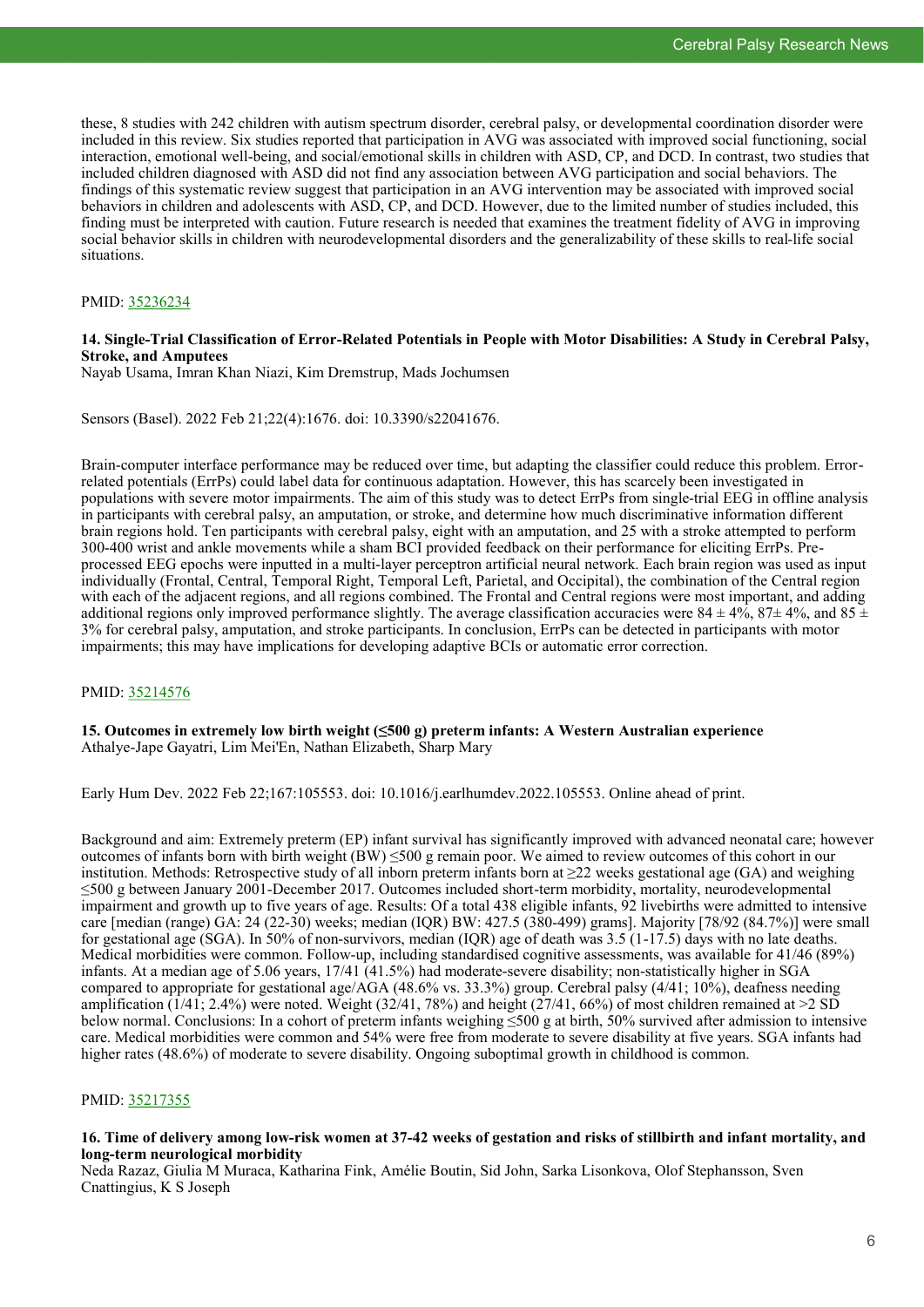these, 8 studies with 242 children with autism spectrum disorder, cerebral palsy, or developmental coordination disorder were included in this review. Six studies reported that participation in AVG was associated with improved social functioning, social interaction, emotional well-being, and social/emotional skills in children with ASD, CP, and DCD. In contrast, two studies that included children diagnosed with ASD did not find any association between AVG participation and social behaviors. The findings of this systematic review suggest that participation in an AVG intervention may be associated with improved social behaviors in children and adolescents with ASD, CP, and DCD. However, due to the limited number of studies included, this finding must be interpreted with caution. Future research is needed that examines the treatment fidelity of AVG in improving social behavior skills in children with neurodevelopmental disorders and the generalizability of these skills to real-life social situations.

#### PMID: [35236234](https://pubmed.ncbi.nlm.nih.gov/35236234)

#### **14. Single-Trial Classification of Error-Related Potentials in People with Motor Disabilities: A Study in Cerebral Palsy, Stroke, and Amputees**

Nayab Usama, Imran Khan Niazi, Kim Dremstrup, Mads Jochumsen

Sensors (Basel). 2022 Feb 21;22(4):1676. doi: 10.3390/s22041676.

Brain-computer interface performance may be reduced over time, but adapting the classifier could reduce this problem. Errorrelated potentials (ErrPs) could label data for continuous adaptation. However, this has scarcely been investigated in populations with severe motor impairments. The aim of this study was to detect ErrPs from single-trial EEG in offline analysis in participants with cerebral palsy, an amputation, or stroke, and determine how much discriminative information different brain regions hold. Ten participants with cerebral palsy, eight with an amputation, and 25 with a stroke attempted to perform 300-400 wrist and ankle movements while a sham BCI provided feedback on their performance for eliciting ErrPs. Preprocessed EEG epochs were inputted in a multi-layer perceptron artificial neural network. Each brain region was used as input individually (Frontal, Central, Temporal Right, Temporal Left, Parietal, and Occipital), the combination of the Central region with each of the adjacent regions, and all regions combined. The Frontal and Central regions were most important, and adding additional regions only improved performance slightly. The average classification accuracies were  $84 \pm 4\%$ ,  $87 \pm 4\%$ , and  $85 \pm 4\%$ 3% for cerebral palsy, amputation, and stroke participants. In conclusion, ErrPs can be detected in participants with motor impairments; this may have implications for developing adaptive BCIs or automatic error correction.

#### PMID: [35214576](http://www.ncbi.nlm.nih.gov/pubmed/35214576)

**15. Outcomes in extremely low birth weight (≤500 g) preterm infants: A Western Australian experience** Athalye-Jape Gayatri, Lim Mei'En, Nathan Elizabeth, Sharp Mary

Early Hum Dev. 2022 Feb 22;167:105553. doi: 10.1016/j.earlhumdev.2022.105553. Online ahead of print.

Background and aim: Extremely preterm (EP) infant survival has significantly improved with advanced neonatal care; however outcomes of infants born with birth weight  $(BW) \leq 500$  g remain poor. We aimed to review outcomes of this cohort in our institution. Methods: Retrospective study of all inborn preterm infants born at  $\geq$ 22 weeks gestational age (GA) and weighing ≤500 g between January 2001-December 2017. Outcomes included short-term morbidity, mortality, neurodevelopmental impairment and growth up to five years of age. Results: Of a total 438 eligible infants, 92 livebirths were admitted to intensive care [median (range) GA: 24 (22-30) weeks; median (IQR) BW: 427.5 (380-499) grams]. Majority [78/92 (84.7%)] were small for gestational age (SGA). In 50% of non-survivors, median (IQR) age of death was 3.5 (1-17.5) days with no late deaths. Medical morbidities were common. Follow-up, including standardised cognitive assessments, was available for 41/46 (89%) infants. At a median age of 5.06 years, 17/41 (41.5%) had moderate-severe disability; non-statistically higher in SGA compared to appropriate for gestational age/AGA (48.6% vs. 33.3%) group. Cerebral palsy (4/41; 10%), deafness needing amplification (1/41; 2.4%) were noted. Weight (32/41, 78%) and height (27/41, 66%) of most children remained at  $\geq 2$  SD below normal. Conclusions: In a cohort of preterm infants weighing ≤500 g at birth, 50% survived after admission to intensive care. Medical morbidities were common and 54% were free from moderate to severe disability at five years. SGA infants had higher rates (48.6%) of moderate to severe disability. Ongoing suboptimal growth in childhood is common.

#### PMID: [35217355](http://www.ncbi.nlm.nih.gov/pubmed/35217355)

#### **16. Time of delivery among low-risk women at 37-42 weeks of gestation and risks of stillbirth and infant mortality, and long-term neurological morbidity**

Neda Razaz, Giulia M Muraca, Katharina Fink, Amélie Boutin, Sid John, Sarka Lisonkova, Olof Stephansson, Sven Cnattingius, K S Joseph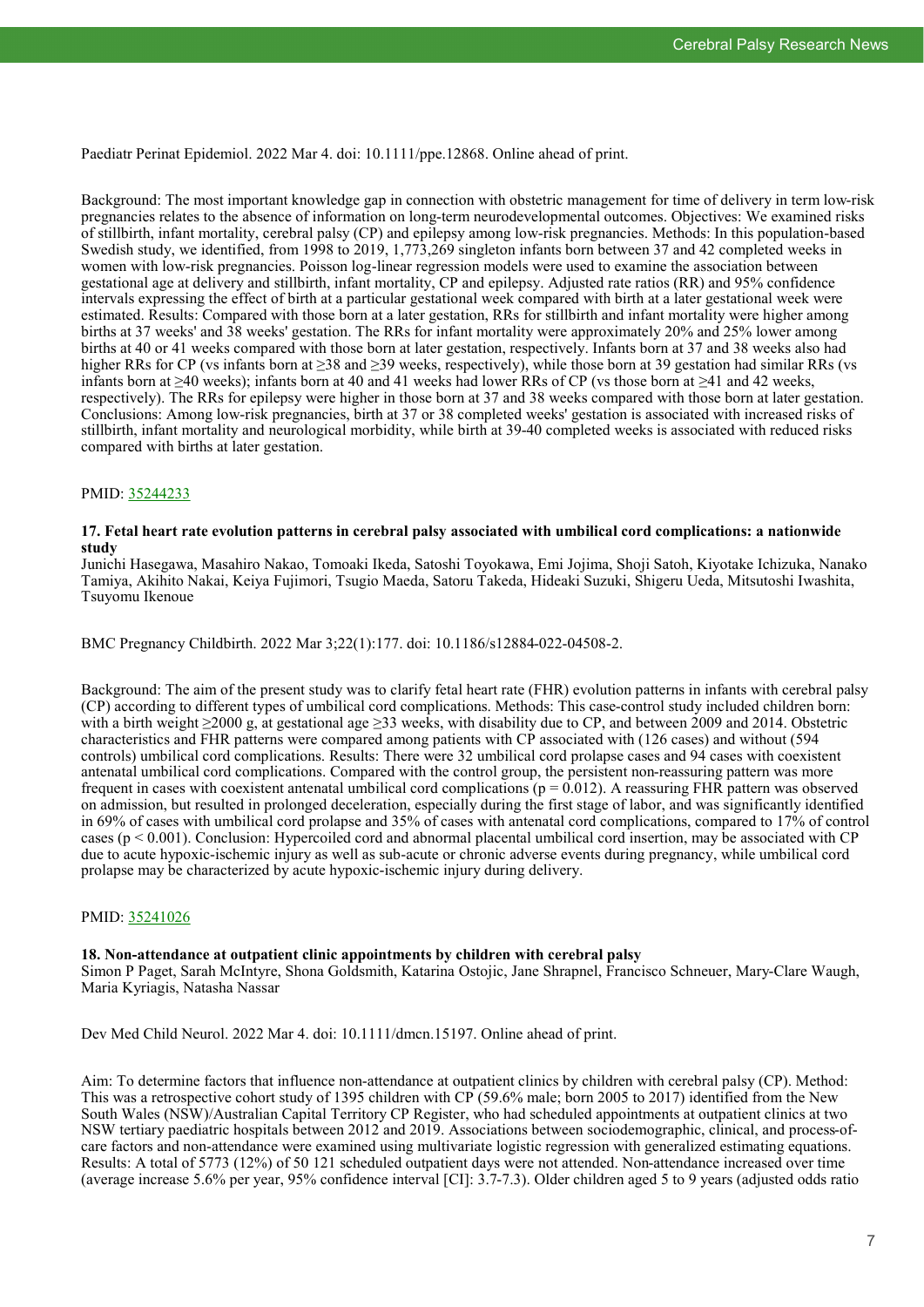Paediatr Perinat Epidemiol. 2022 Mar 4. doi: 10.1111/ppe.12868. Online ahead of print.

Background: The most important knowledge gap in connection with obstetric management for time of delivery in term low-risk pregnancies relates to the absence of information on long-term neurodevelopmental outcomes. Objectives: We examined risks of stillbirth, infant mortality, cerebral palsy (CP) and epilepsy among low-risk pregnancies. Methods: In this population-based Swedish study, we identified, from 1998 to 2019, 1,773,269 singleton infants born between 37 and 42 completed weeks in women with low-risk pregnancies. Poisson log-linear regression models were used to examine the association between gestational age at delivery and stillbirth, infant mortality, CP and epilepsy. Adjusted rate ratios (RR) and 95% confidence intervals expressing the effect of birth at a particular gestational week compared with birth at a later gestational week were estimated. Results: Compared with those born at a later gestation, RRs for stillbirth and infant mortality were higher among births at 37 weeks' and 38 weeks' gestation. The RRs for infant mortality were approximately 20% and 25% lower among births at 40 or 41 weeks compared with those born at later gestation, respectively. Infants born at 37 and 38 weeks also had higher RRs for CP (vs infants born at ≥38 and ≥39 weeks, respectively), while those born at 39 gestation had similar RRs (vs infants born at ≥40 weeks); infants born at 40 and 41 weeks had lower RRs of CP (vs those born at ≥41 and 42 weeks, respectively). The RRs for epilepsy were higher in those born at 37 and 38 weeks compared with those born at later gestation. Conclusions: Among low-risk pregnancies, birth at 37 or 38 completed weeks' gestation is associated with increased risks of stillbirth, infant mortality and neurological morbidity, while birth at 39-40 completed weeks is associated with reduced risks compared with births at later gestation.

#### PMID: [35244233](https://pubmed.ncbi.nlm.nih.gov/35244233)

#### **17. Fetal heart rate evolution patterns in cerebral palsy associated with umbilical cord complications: a nationwide study**

Junichi Hasegawa, Masahiro Nakao, Tomoaki Ikeda, Satoshi Toyokawa, Emi Jojima, Shoji Satoh, Kiyotake Ichizuka, Nanako Tamiya, Akihito Nakai, Keiya Fujimori, Tsugio Maeda, Satoru Takeda, Hideaki Suzuki, Shigeru Ueda, Mitsutoshi Iwashita, Tsuyomu Ikenoue

BMC Pregnancy Childbirth. 2022 Mar 3;22(1):177. doi: 10.1186/s12884-022-04508-2.

Background: The aim of the present study was to clarify fetal heart rate (FHR) evolution patterns in infants with cerebral palsy (CP) according to different types of umbilical cord complications. Methods: This case-control study included children born: with a birth weight ≥2000 g, at gestational age ≥33 weeks, with disability due to CP, and between 2009 and 2014. Obstetric characteristics and FHR patterns were compared among patients with CP associated with (126 cases) and without (594 controls) umbilical cord complications. Results: There were 32 umbilical cord prolapse cases and 94 cases with coexistent antenatal umbilical cord complications. Compared with the control group, the persistent non-reassuring pattern was more frequent in cases with coexistent antenatal umbilical cord complications  $(p = 0.012)$ . A reassuring FHR pattern was observed on admission, but resulted in prolonged deceleration, especially during the first stage of labor, and was significantly identified in 69% of cases with umbilical cord prolapse and 35% of cases with antenatal cord complications, compared to 17% of control cases (p < 0.001). Conclusion: Hypercoiled cord and abnormal placental umbilical cord insertion, may be associated with CP due to acute hypoxic-ischemic injury as well as sub-acute or chronic adverse events during pregnancy, while umbilical cord prolapse may be characterized by acute hypoxic-ischemic injury during delivery.

#### PMID: [35241026](https://pubmed.ncbi.nlm.nih.gov/35241026)

#### **18. Non-attendance at outpatient clinic appointments by children with cerebral palsy**

Simon P Paget, Sarah McIntyre, Shona Goldsmith, Katarina Ostojic, Jane Shrapnel, Francisco Schneuer, Mary-Clare Waugh, Maria Kyriagis, Natasha Nassar

Dev Med Child Neurol. 2022 Mar 4. doi: 10.1111/dmcn.15197. Online ahead of print.

Aim: To determine factors that influence non-attendance at outpatient clinics by children with cerebral palsy (CP). Method: This was a retrospective cohort study of 1395 children with CP (59.6% male; born 2005 to 2017) identified from the New South Wales (NSW)/Australian Capital Territory CP Register, who had scheduled appointments at outpatient clinics at two NSW tertiary paediatric hospitals between 2012 and 2019. Associations between sociodemographic, clinical, and process-ofcare factors and non-attendance were examined using multivariate logistic regression with generalized estimating equations. Results: A total of 5773 (12%) of 50 121 scheduled outpatient days were not attended. Non-attendance increased over time (average increase 5.6% per year, 95% confidence interval [CI]: 3.7-7.3). Older children aged 5 to 9 years (adjusted odds ratio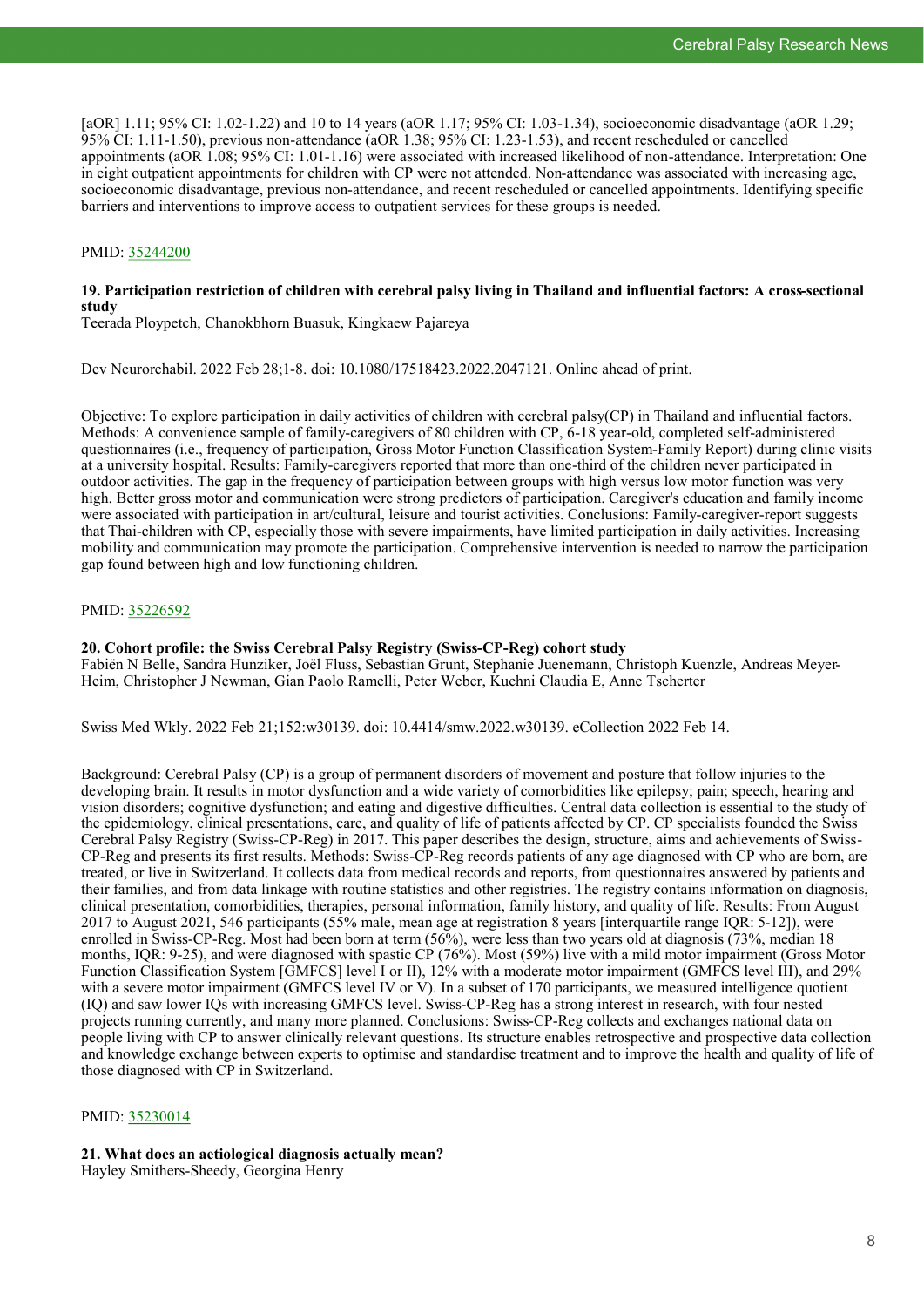[aOR] 1.11; 95% CI: 1.02-1.22) and 10 to 14 years (aOR 1.17; 95% CI: 1.03-1.34), socioeconomic disadvantage (aOR 1.29; 95% CI: 1.11-1.50), previous non-attendance (aOR 1.38; 95% CI: 1.23-1.53), and recent rescheduled or cancelled appointments (aOR 1.08; 95% CI: 1.01-1.16) were associated with increased likelihood of non-attendance. Interpretation: One in eight outpatient appointments for children with CP were not attended. Non-attendance was associated with increasing age, socioeconomic disadvantage, previous non-attendance, and recent rescheduled or cancelled appointments. Identifying specific barriers and interventions to improve access to outpatient services for these groups is needed.

#### PMID: [35244200](https://pubmed.ncbi.nlm.nih.gov/35244200)

#### **19. Participation restriction of children with cerebral palsy living in Thailand and influential factors: A cross-sectional study**

Teerada Ploypetch, Chanokbhorn Buasuk, Kingkaew Pajareya

Dev Neurorehabil. 2022 Feb 28;1-8. doi: 10.1080/17518423.2022.2047121. Online ahead of print.

Objective: To explore participation in daily activities of children with cerebral palsy(CP) in Thailand and influential factors. Methods: A convenience sample of family-caregivers of 80 children with CP, 6-18 year-old, completed self-administered questionnaires (i.e., frequency of participation, Gross Motor Function Classification System-Family Report) during clinic visits at a university hospital. Results: Family-caregivers reported that more than one-third of the children never participated in outdoor activities. The gap in the frequency of participation between groups with high versus low motor function was very high. Better gross motor and communication were strong predictors of participation. Caregiver's education and family income were associated with participation in art/cultural, leisure and tourist activities. Conclusions: Family-caregiver-report suggests that Thai-children with CP, especially those with severe impairments, have limited participation in daily activities. Increasing mobility and communication may promote the participation. Comprehensive intervention is needed to narrow the participation gap found between high and low functioning children.

#### PMID: [35226592](http://www.ncbi.nlm.nih.gov/pubmed/35226592)

#### **20. Cohort profile: the Swiss Cerebral Palsy Registry (Swiss-CP-Reg) cohort study**

Fabiën N Belle, Sandra Hunziker, Joël Fluss, Sebastian Grunt, Stephanie Juenemann, Christoph Kuenzle, Andreas Meyer-Heim, Christopher J Newman, Gian Paolo Ramelli, Peter Weber, Kuehni Claudia E, Anne Tscherter

Swiss Med Wkly. 2022 Feb 21;152:w30139. doi: 10.4414/smw.2022.w30139. eCollection 2022 Feb 14.

Background: Cerebral Palsy (CP) is a group of permanent disorders of movement and posture that follow injuries to the developing brain. It results in motor dysfunction and a wide variety of comorbidities like epilepsy; pain; speech, hearing and vision disorders; cognitive dysfunction; and eating and digestive difficulties. Central data collection is essential to the study of the epidemiology, clinical presentations, care, and quality of life of patients affected by CP. CP specialists founded the Swiss Cerebral Palsy Registry (Swiss-CP-Reg) in 2017. This paper describes the design, structure, aims and achievements of Swiss-CP-Reg and presents its first results. Methods: Swiss-CP-Reg records patients of any age diagnosed with CP who are born, are treated, or live in Switzerland. It collects data from medical records and reports, from questionnaires answered by patients and their families, and from data linkage with routine statistics and other registries. The registry contains information on diagnosis, clinical presentation, comorbidities, therapies, personal information, family history, and quality of life. Results: From August 2017 to August 2021, 546 participants (55% male, mean age at registration 8 years [interquartile range IQR: 5-12]), were enrolled in Swiss-CP-Reg. Most had been born at term (56%), were less than two years old at diagnosis (73%, median 18 months, IQR: 9-25), and were diagnosed with spastic CP (76%). Most (59%) live with a mild motor impairment (Gross Motor Function Classification System [GMFCS] level I or II), 12% with a moderate motor impairment (GMFCS level III), and 29% with a severe motor impairment (GMFCS level IV or V). In a subset of 170 participants, we measured intelligence quotient (IQ) and saw lower IQs with increasing GMFCS level. Swiss-CP-Reg has a strong interest in research, with four nested projects running currently, and many more planned. Conclusions: Swiss-CP-Reg collects and exchanges national data on people living with CP to answer clinically relevant questions. Its structure enables retrospective and prospective data collection and knowledge exchange between experts to optimise and standardise treatment and to improve the health and quality of life of those diagnosed with CP in Switzerland.

#### PMID: [35230014](http://www.ncbi.nlm.nih.gov/pubmed/35230014)

# **21. What does an aetiological diagnosis actually mean?**

Hayley Smithers-Sheedy, Georgina Henry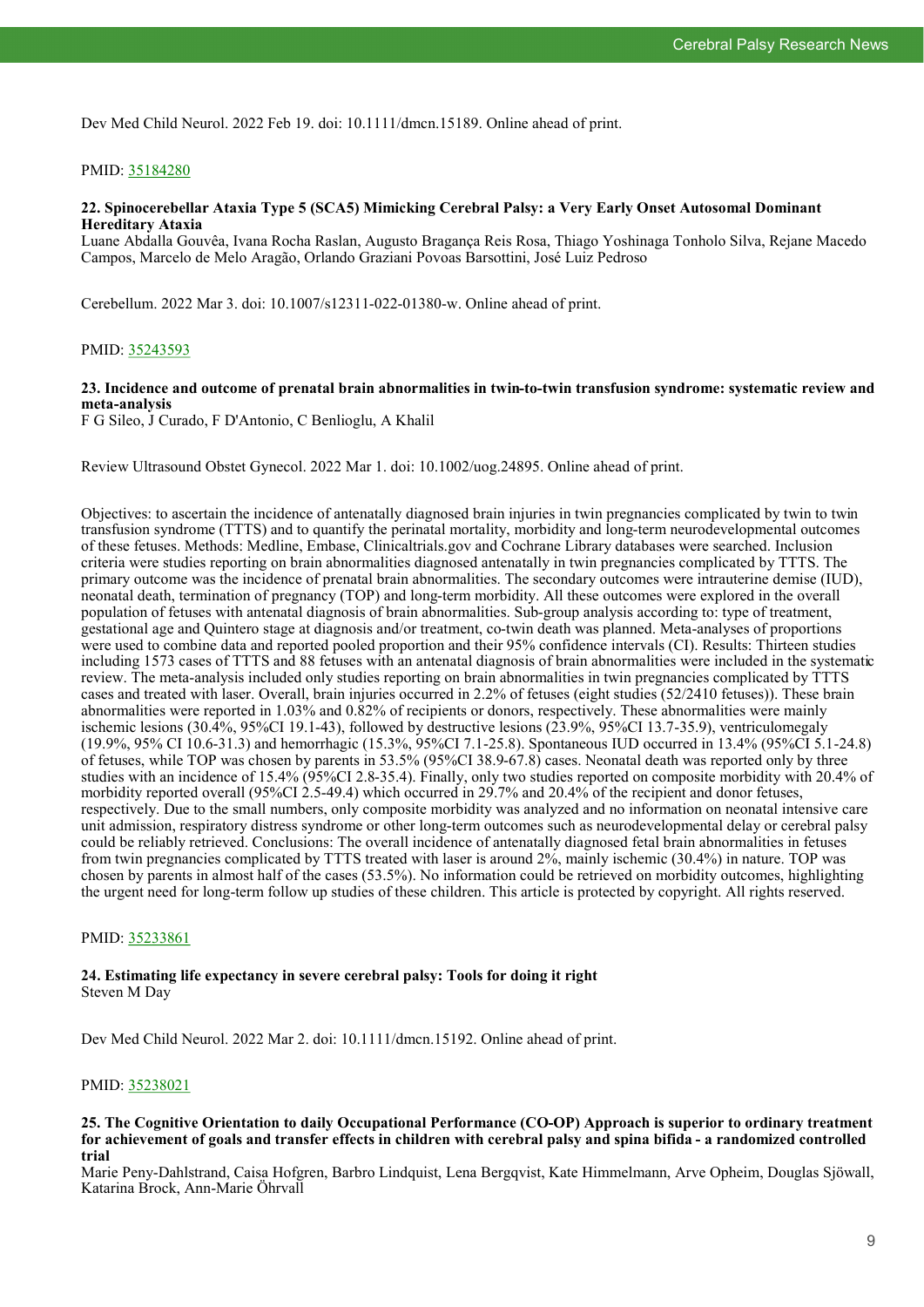Dev Med Child Neurol. 2022 Feb 19. doi: 10.1111/dmcn.15189. Online ahead of print.

#### PMID: [35184280](https://pubmed.ncbi.nlm.nih.gov/35184280)

#### **22. Spinocerebellar Ataxia Type 5 (SCA5) Mimicking Cerebral Palsy: a Very Early Onset Autosomal Dominant Hereditary Ataxia**

Luane Abdalla Gouvêa, Ivana Rocha Raslan, Augusto Bragança Reis Rosa, Thiago Yoshinaga Tonholo Silva, Rejane Macedo Campos, Marcelo de Melo Aragão, Orlando Graziani Povoas Barsottini, José Luiz Pedroso

Cerebellum. 2022 Mar 3. doi: 10.1007/s12311-022-01380-w. Online ahead of print.

#### PMID: [35243593](https://pubmed.ncbi.nlm.nih.gov/35243593)

#### **23. Incidence and outcome of prenatal brain abnormalities in twin-to-twin transfusion syndrome: systematic review and meta-analysis**

F G Sileo, J Curado, F D'Antonio, C Benlioglu, A Khalil

Review Ultrasound Obstet Gynecol. 2022 Mar 1. doi: 10.1002/uog.24895. Online ahead of print.

Objectives: to ascertain the incidence of antenatally diagnosed brain injuries in twin pregnancies complicated by twin to twin transfusion syndrome (TTTS) and to quantify the perinatal mortality, morbidity and long-term neurodevelopmental outcomes of these fetuses. Methods: Medline, Embase, Clinicaltrials.gov and Cochrane Library databases were searched. Inclusion criteria were studies reporting on brain abnormalities diagnosed antenatally in twin pregnancies complicated by TTTS. The primary outcome was the incidence of prenatal brain abnormalities. The secondary outcomes were intrauterine demise (IUD), neonatal death, termination of pregnancy (TOP) and long-term morbidity. All these outcomes were explored in the overall population of fetuses with antenatal diagnosis of brain abnormalities. Sub-group analysis according to: type of treatment, gestational age and Quintero stage at diagnosis and/or treatment, co-twin death was planned. Meta-analyses of proportions were used to combine data and reported pooled proportion and their 95% confidence intervals (CI). Results: Thirteen studies including 1573 cases of TTTS and 88 fetuses with an antenatal diagnosis of brain abnormalities were included in the systematic review. The meta-analysis included only studies reporting on brain abnormalities in twin pregnancies complicated by TTTS cases and treated with laser. Overall, brain injuries occurred in 2.2% of fetuses (eight studies (52/2410 fetuses)). These brain abnormalities were reported in 1.03% and 0.82% of recipients or donors, respectively. These abnormalities were mainly ischemic lesions (30.4%, 95%CI 19.1-43), followed by destructive lesions (23.9%, 95%CI 13.7-35.9), ventriculomegaly (19.9%, 95% CI 10.6-31.3) and hemorrhagic (15.3%, 95%CI 7.1-25.8). Spontaneous IUD occurred in 13.4% (95%CI 5.1-24.8) of fetuses, while TOP was chosen by parents in 53.5% (95%CI 38.9-67.8) cases. Neonatal death was reported only by three studies with an incidence of 15.4% (95%CI 2.8-35.4). Finally, only two studies reported on composite morbidity with 20.4% of morbidity reported overall (95%CI 2.5-49.4) which occurred in 29.7% and 20.4% of the recipient and donor fetuses, respectively. Due to the small numbers, only composite morbidity was analyzed and no information on neonatal intensive care unit admission, respiratory distress syndrome or other long-term outcomes such as neurodevelopmental delay or cerebral palsy could be reliably retrieved. Conclusions: The overall incidence of antenatally diagnosed fetal brain abnormalities in fetuses from twin pregnancies complicated by TTTS treated with laser is around 2%, mainly ischemic (30.4%) in nature. TOP was chosen by parents in almost half of the cases (53.5%). No information could be retrieved on morbidity outcomes, highlighting the urgent need for long-term follow up studies of these children. This article is protected by copyright. All rights reserved.

#### PMID: [35233861](http://www.ncbi.nlm.nih.gov/pubmed/35233861)

#### **24. Estimating life expectancy in severe cerebral palsy: Tools for doing it right** Steven M Day

Dev Med Child Neurol. 2022 Mar 2. doi: 10.1111/dmcn.15192. Online ahead of print.

#### PMID: [35238021](https://pubmed.ncbi.nlm.nih.gov/35238021)

#### **25. The Cognitive Orientation to daily Occupational Performance (CO-OP) Approach is superior to ordinary treatment for achievement of goals and transfer effects in children with cerebral palsy and spina bifida - a randomized controlled trial**

Marie Peny-Dahlstrand, Caisa Hofgren, Barbro Lindquist, Lena Bergqvist, Kate Himmelmann, Arve Opheim, Douglas Sjöwall, Katarina Brock, Ann-Marie Öhrvall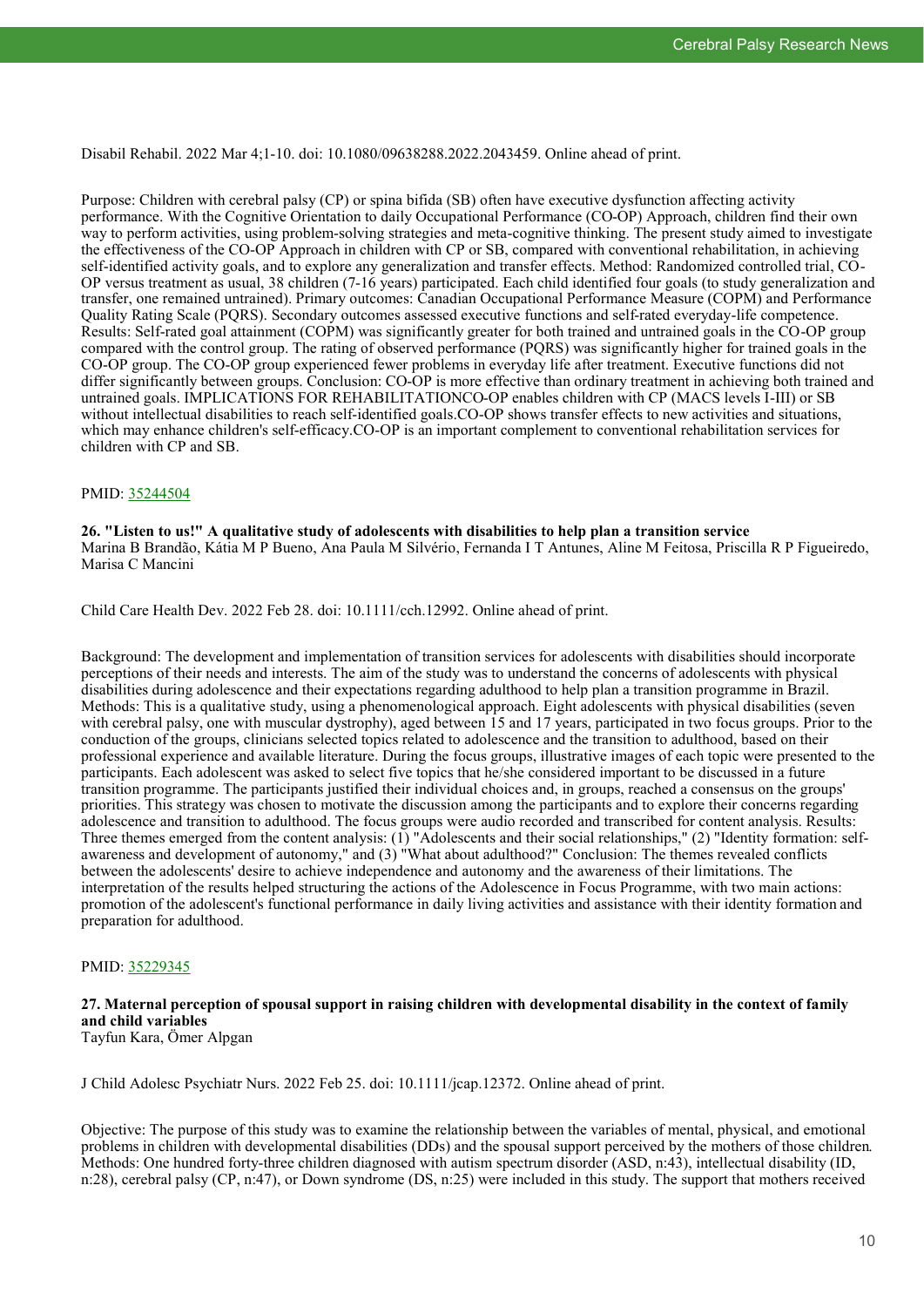Disabil Rehabil. 2022 Mar 4;1-10. doi: 10.1080/09638288.2022.2043459. Online ahead of print.

Purpose: Children with cerebral palsy (CP) or spina bifida (SB) often have executive dysfunction affecting activity performance. With the Cognitive Orientation to daily Occupational Performance (CO-OP) Approach, children find their own way to perform activities, using problem-solving strategies and meta-cognitive thinking. The present study aimed to investigate the effectiveness of the CO-OP Approach in children with CP or SB, compared with conventional rehabilitation, in achieving self-identified activity goals, and to explore any generalization and transfer effects. Method: Randomized controlled trial, CO-OP versus treatment as usual, 38 children (7-16 years) participated. Each child identified four goals (to study generalization and transfer, one remained untrained). Primary outcomes: Canadian Occupational Performance Measure (COPM) and Performance Quality Rating Scale (PQRS). Secondary outcomes assessed executive functions and self-rated everyday-life competence. Results: Self-rated goal attainment (COPM) was significantly greater for both trained and untrained goals in the CO-OP group compared with the control group. The rating of observed performance (PQRS) was significantly higher for trained goals in the CO-OP group. The CO-OP group experienced fewer problems in everyday life after treatment. Executive functions did not differ significantly between groups. Conclusion: CO-OP is more effective than ordinary treatment in achieving both trained and untrained goals. IMPLICATIONS FOR REHABILITATIONCO-OP enables children with CP (MACS levels I-III) or SB without intellectual disabilities to reach self-identified goals.CO-OP shows transfer effects to new activities and situations, which may enhance children's self-efficacy.CO-OP is an important complement to conventional rehabilitation services for children with CP and SB.

#### PMID: [35244504](https://pubmed.ncbi.nlm.nih.gov/35244504)

**26. "Listen to us!" A qualitative study of adolescents with disabilities to help plan a transition service** Marina B Brandão, Kátia M P Bueno, Ana Paula M Silvério, Fernanda I T Antunes, Aline M Feitosa, Priscilla R P Figueiredo, Marisa C Mancini

Child Care Health Dev. 2022 Feb 28. doi: 10.1111/cch.12992. Online ahead of print.

Background: The development and implementation of transition services for adolescents with disabilities should incorporate perceptions of their needs and interests. The aim of the study was to understand the concerns of adolescents with physical disabilities during adolescence and their expectations regarding adulthood to help plan a transition programme in Brazil. Methods: This is a qualitative study, using a phenomenological approach. Eight adolescents with physical disabilities (seven with cerebral palsy, one with muscular dystrophy), aged between 15 and 17 years, participated in two focus groups. Prior to the conduction of the groups, clinicians selected topics related to adolescence and the transition to adulthood, based on their professional experience and available literature. During the focus groups, illustrative images of each topic were presented to the participants. Each adolescent was asked to select five topics that he/she considered important to be discussed in a future transition programme. The participants justified their individual choices and, in groups, reached a consensus on the groups' priorities. This strategy was chosen to motivate the discussion among the participants and to explore their concerns regarding adolescence and transition to adulthood. The focus groups were audio recorded and transcribed for content analysis. Results: Three themes emerged from the content analysis:  $(\tilde{1})$  "Adolescents and their social relationships,"  $(2)$  "Identity formation: selfawareness and development of autonomy," and (3) "What about adulthood?" Conclusion: The themes revealed conflicts between the adolescents' desire to achieve independence and autonomy and the awareness of their limitations. The interpretation of the results helped structuring the actions of the Adolescence in Focus Programme, with two main actions: promotion of the adolescent's functional performance in daily living activities and assistance with their identity formation and preparation for adulthood.

#### PMID: [35229345](http://www.ncbi.nlm.nih.gov/pubmed/35229345)

# **27. Maternal perception of spousal support in raising children with developmental disability in the context of family and child variables**

Tayfun Kara, Ömer Alpgan

J Child Adolesc Psychiatr Nurs. 2022 Feb 25. doi: 10.1111/jcap.12372. Online ahead of print.

Objective: The purpose of this study was to examine the relationship between the variables of mental, physical, and emotional problems in children with developmental disabilities (DDs) and the spousal support perceived by the mothers of those children. Methods: One hundred forty-three children diagnosed with autism spectrum disorder (ASD, n:43), intellectual disability (ID, n:28), cerebral palsy (CP, n:47), or Down syndrome (DS, n:25) were included in this study. The support that mothers received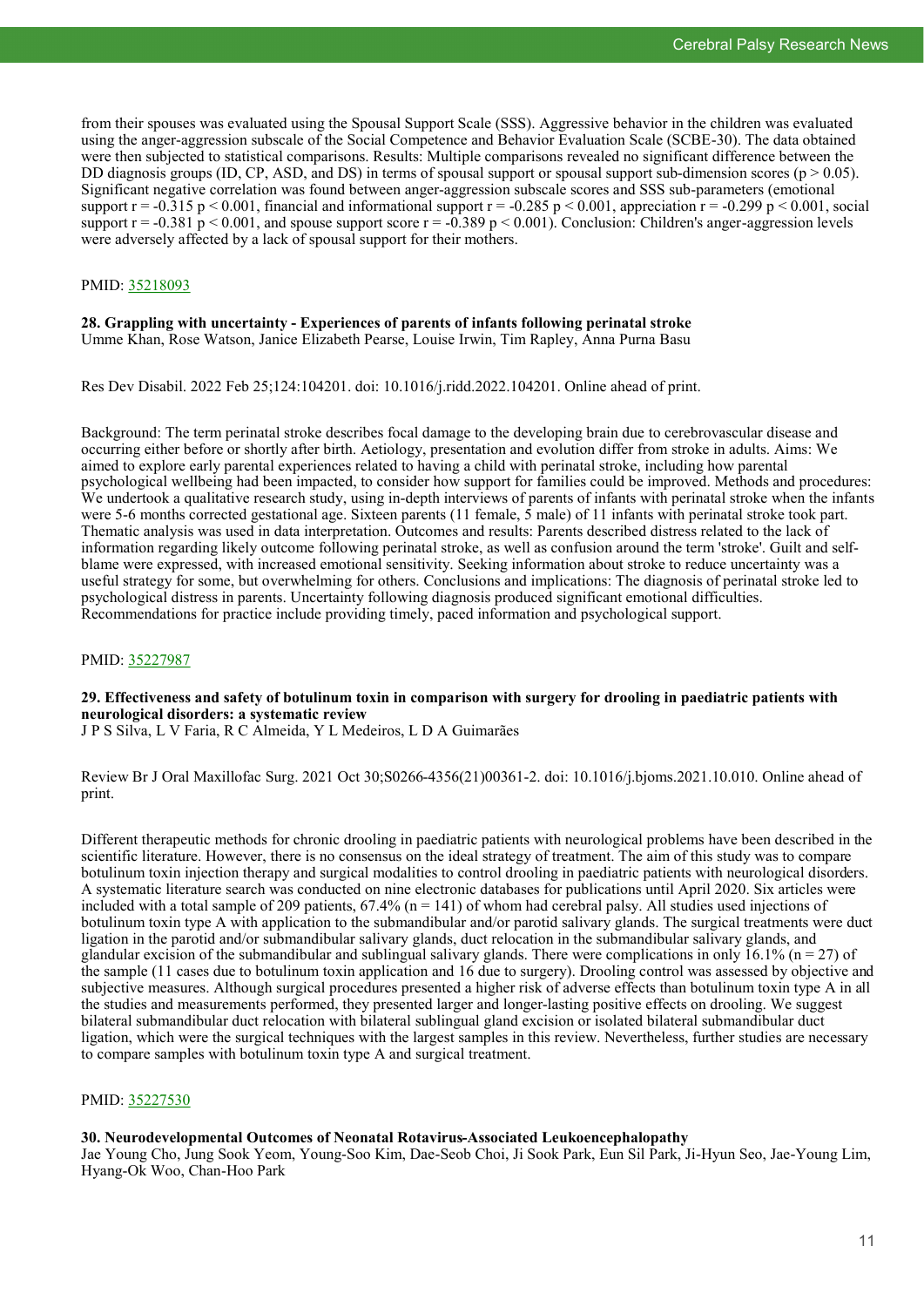from their spouses was evaluated using the Spousal Support Scale (SSS). Aggressive behavior in the children was evaluated using the anger-aggression subscale of the Social Competence and Behavior Evaluation Scale (SCBE-30). The data obtained were then subjected to statistical comparisons. Results: Multiple comparisons revealed no significant difference between the DD diagnosis groups (ID, CP, ASD, and DS) in terms of spousal support or spousal support sub-dimension scores ( $p > 0.05$ ). Significant negative correlation was found between anger-aggression subscale scores and SSS sub-parameters (emotional support  $r = -0.315$  p < 0.001, financial and informational support  $r = -0.285$  p < 0.001, appreciation  $r = -0.299$  p < 0.001, social support  $r = -0.381 \text{ p} < 0.001$ , and spouse support score  $r = -0.389 \text{ p} < 0.001$ ). Conclusion: Children's anger-aggression levels were adversely affected by a lack of spousal support for their mothers.

#### PMID: [35218093](http://www.ncbi.nlm.nih.gov/pubmed/35218093)

# **28. Grappling with uncertainty - Experiences of parents of infants following perinatal stroke**

Umme Khan, Rose Watson, Janice Elizabeth Pearse, Louise Irwin, Tim Rapley, Anna Purna Basu

Res Dev Disabil. 2022 Feb 25;124:104201. doi: 10.1016/j.ridd.2022.104201. Online ahead of print.

Background: The term perinatal stroke describes focal damage to the developing brain due to cerebrovascular disease and occurring either before or shortly after birth. Aetiology, presentation and evolution differ from stroke in adults. Aims: We aimed to explore early parental experiences related to having a child with perinatal stroke, including how parental psychological wellbeing had been impacted, to consider how support for families could be improved. Methods and procedures: We undertook a qualitative research study, using in-depth interviews of parents of infants with perinatal stroke when the infants were 5-6 months corrected gestational age. Sixteen parents (11 female,  $\frac{1}{5}$  male) of 11 infants with perinatal stroke took part. Thematic analysis was used in data interpretation. Outcomes and results: Parents described distress related to the lack of information regarding likely outcome following perinatal stroke, as well as confusion around the term 'stroke'. Guilt and selfblame were expressed, with increased emotional sensitivity. Seeking information about stroke to reduce uncertainty was a useful strategy for some, but overwhelming for others. Conclusions and implications: The diagnosis of perinatal stroke led to psychological distress in parents. Uncertainty following diagnosis produced significant emotional difficulties. Recommendations for practice include providing timely, paced information and psychological support.

#### PMID: [35227987](http://www.ncbi.nlm.nih.gov/pubmed/35227987)

**29. Effectiveness and safety of botulinum toxin in comparison with surgery for drooling in paediatric patients with neurological disorders: a systematic review**

J P S Silva, L V Faria, R C Almeida, Y L Medeiros, L D A Guimarães

Review Br J Oral Maxillofac Surg. 2021 Oct 30;S0266-4356(21)00361-2. doi: 10.1016/j.bjoms.2021.10.010. Online ahead of print.

Different therapeutic methods for chronic drooling in paediatric patients with neurological problems have been described in the scientific literature. However, there is no consensus on the ideal strategy of treatment. The aim of this study was to compare botulinum toxin injection therapy and surgical modalities to control drooling in paediatric patients with neurological disorders. A systematic literature search was conducted on nine electronic databases for publications until April 2020. Six articles were included with a total sample of 209 patients,  $67.4\%$  (n = 141) of whom had cerebral palsy. All studies used injections of botulinum toxin type A with application to the submandibular and/or parotid salivary glands. The surgical treatments were duct ligation in the parotid and/or submandibular salivary glands, duct relocation in the submandibular salivary glands, and glandular excision of the submandibular and sublingual salivary glands. There were complications in only  $16.1\%$  (n = 27) of the sample (11 cases due to botulinum toxin application and 16 due to surgery). Drooling control was assessed by objective and subjective measures. Although surgical procedures presented a higher risk of adverse effects than botulinum toxin type A in all the studies and measurements performed, they presented larger and longer-lasting positive effects on drooling. We suggest bilateral submandibular duct relocation with bilateral sublingual gland excision or isolated bilateral submandibular duct ligation, which were the surgical techniques with the largest samples in this review. Nevertheless, further studies are necessary to compare samples with botulinum toxin type A and surgical treatment.

#### PMID: [35227530](http://www.ncbi.nlm.nih.gov/pubmed/35227530)

#### **30. Neurodevelopmental Outcomes of Neonatal Rotavirus-Associated Leukoencephalopathy**

Jae Young Cho, Jung Sook Yeom, Young-Soo Kim, Dae-Seob Choi, Ji Sook Park, Eun Sil Park, Ji-Hyun Seo, Jae-Young Lim, Hyang-Ok Woo, Chan-Hoo Park